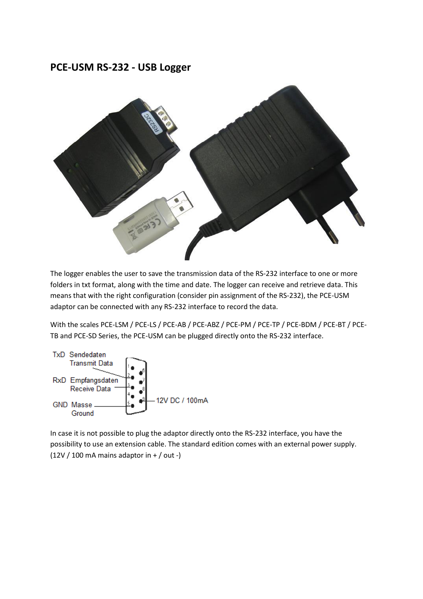# **PCE-USM RS-232 - USB Logger**



The logger enables the user to save the transmission data of the RS-232 interface to one or more folders in txt format, along with the time and date. The logger can receive and retrieve data. This means that with the right configuration (consider pin assignment of the RS-232), the PCE-USM adaptor can be connected with any RS-232 interface to record the data.

With the scales PCE-LSM / PCE-LS / PCE-AB / PCE-ABZ / PCE-PM / PCE-TP / PCE-BDM / PCE-BT / PCE-TB and PCE-SD Series, the PCE-USM can be plugged directly onto the RS-232 interface.



In case it is not possible to plug the adaptor directly onto the RS-232 interface, you have the possibility to use an extension cable. The standard edition comes with an external power supply.  $(12V / 100 \text{ mA}$  mains adaptor in  $+ / \text{ out}$  -)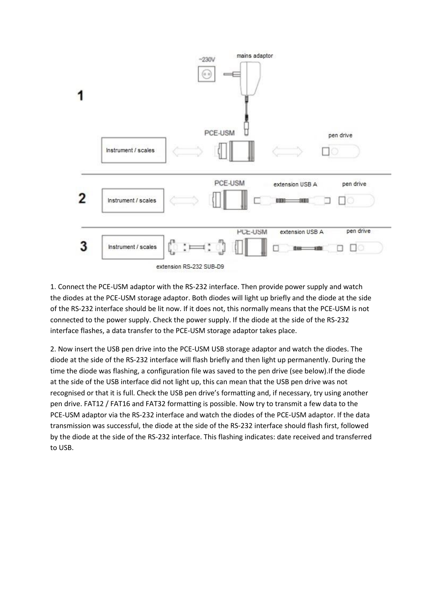

1. Connect the PCE-USM adaptor with the RS-232 interface. Then provide power supply and watch the diodes at the PCE-USM storage adaptor. Both diodes will light up briefly and the diode at the side of the RS-232 interface should be lit now. If it does not, this normally means that the PCE-USM is not connected to the power supply. Check the power supply. If the diode at the side of the RS-232 interface flashes, a data transfer to the PCE-USM storage adaptor takes place.

2. Now insert the USB pen drive into the PCE-USM USB storage adaptor and watch the diodes. The diode at the side of the RS-232 interface will flash briefly and then light up permanently. During the time the diode was flashing, a configuration file was saved to the pen drive (see below).If the diode at the side of the USB interface did not light up, this can mean that the USB pen drive was not recognised or that it is full. Check the USB pen drive's formatting and, if necessary, try using another pen drive. FAT12 / FAT16 and FAT32 formatting is possible. Now try to transmit a few data to the PCE-USM adaptor via the RS-232 interface and watch the diodes of the PCE-USM adaptor. If the data transmission was successful, the diode at the side of the RS-232 interface should flash first, followed by the diode at the side of the RS-232 interface. This flashing indicates: date received and transferred to USB.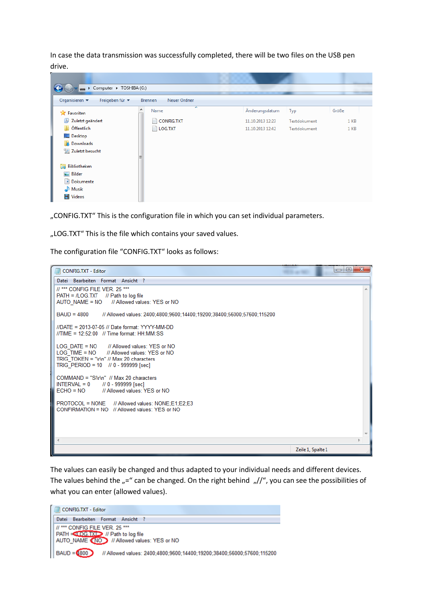In case the data transmission was successfully completed, there will be two files on the USB pen drive.

| Computer > TOSHIBA (G:)           |                                |                  |              |       |
|-----------------------------------|--------------------------------|------------------|--------------|-------|
| Organisieren v<br>Freigeben für v | <b>Brennen</b><br>Neuer Ordner |                  |              |       |
| ▲<br><b>X</b> Favoriten           | ┻<br>Name                      | Änderungsdatum   | Typ          | Größe |
| Zuletzt geändert                  | CONFIG.TXT                     | 11.10.2013 12:23 | Textdokument | 1 KB  |
| Öffentlich<br>n,                  | $\blacksquare$ LOG.TXT         | 11.10.2013 12:42 | Textdokument | 1 KB  |
| Desktop                           |                                |                  |              |       |
| <b>Downloads</b>                  |                                |                  |              |       |
| Zuletzt besucht                   |                                |                  |              |       |
| Ξ                                 |                                |                  |              |       |
| Bibliotheken<br>▄                 |                                |                  |              |       |
| Bilder                            |                                |                  |              |       |
| B<br>Dokumente                    |                                |                  |              |       |
| Musik<br>الہ                      |                                |                  |              |       |
| H<br><b>Videos</b>                |                                |                  |              |       |

"CONFIG.TXT" This is the configuration file in which you can set individual parameters.

"LOG.TXT" This is the file which contains your saved values.

The configuration file "CONFIG.TXT" looks as follows:



The values can easily be changed and thus adapted to your individual needs and different devices. The values behind the  $_{\nu}$ =" can be changed. On the right behind  $_{\nu}//$ ", you can see the possibilities of what you can enter (allowed values).

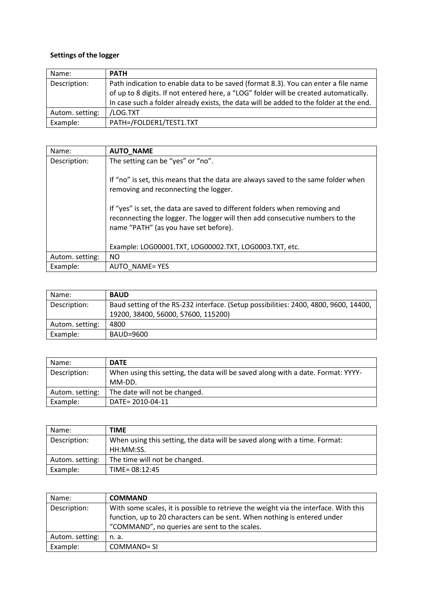## **Settings of the logger**

| Name:           | <b>PATH</b>                                                                            |
|-----------------|----------------------------------------------------------------------------------------|
| Description:    | Path indication to enable data to be saved (format 8.3). You can enter a file name     |
|                 | of up to 8 digits. If not entered here, a "LOG" folder will be created automatically.  |
|                 | In case such a folder already exists, the data will be added to the folder at the end. |
| Autom. setting: | /LOG.TXT                                                                               |
| Example:        | PATH=/FOLDER1/TEST1.TXT                                                                |

| Name:           | <b>AUTO_NAME</b>                                                                                                                                                                                    |
|-----------------|-----------------------------------------------------------------------------------------------------------------------------------------------------------------------------------------------------|
| Description:    | The setting can be "yes" or "no".                                                                                                                                                                   |
|                 | If "no" is set, this means that the data are always saved to the same folder when<br>removing and reconnecting the logger.                                                                          |
|                 | If "yes" is set, the data are saved to different folders when removing and<br>reconnecting the logger. The logger will then add consecutive numbers to the<br>name "PATH" (as you have set before). |
|                 | Example: LOG00001.TXT, LOG00002.TXT, LOG0003.TXT, etc.                                                                                                                                              |
| Autom. setting: | NO.                                                                                                                                                                                                 |
| Example:        | AUTO NAME= YES                                                                                                                                                                                      |

| Name:           | <b>BAUD</b>                                                                                                                 |
|-----------------|-----------------------------------------------------------------------------------------------------------------------------|
| Description:    | Baud setting of the RS-232 interface. (Setup possibilities: 2400, 4800, 9600, 14400,<br>19200, 38400, 56000, 57600, 115200) |
| Autom. setting: | 4800                                                                                                                        |
| Example:        | BAUD=9600                                                                                                                   |

| Name:           | <b>DATE</b>                                                                      |
|-----------------|----------------------------------------------------------------------------------|
| Description:    | When using this setting, the data will be saved along with a date. Format: YYYY- |
|                 | MM-DD.                                                                           |
| Autom. setting: | The date will not be changed.                                                    |
| Example:        | DATE= 2010-04-11                                                                 |

| Name:           | <b>TIME</b>                                                                |
|-----------------|----------------------------------------------------------------------------|
| Description:    | When using this setting, the data will be saved along with a time. Format: |
|                 | HH:MM:SS.                                                                  |
| Autom. setting: | The time will not be changed.                                              |
| Example:        | $TIME = 08:12:45$                                                          |

| Name:           | <b>COMMAND</b>                                                                                                                                                                                                    |
|-----------------|-------------------------------------------------------------------------------------------------------------------------------------------------------------------------------------------------------------------|
| Description:    | With some scales, it is possible to retrieve the weight via the interface. With this<br>function, up to 20 characters can be sent. When nothing is entered under<br>"COMMAND", no queries are sent to the scales. |
| Autom. setting: | n. a.                                                                                                                                                                                                             |
| Example:        | COMMAND= SI                                                                                                                                                                                                       |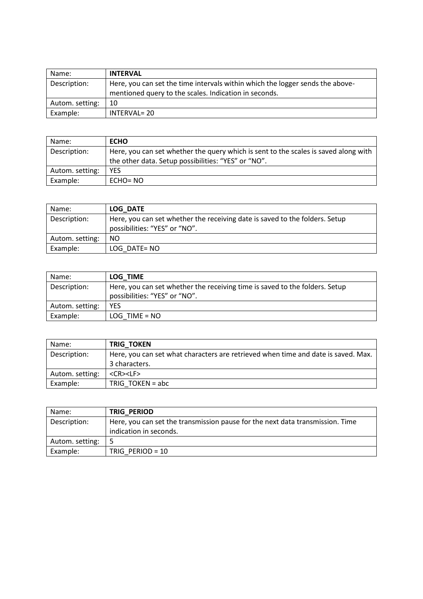| Name:           | <b>INTERVAL</b>                                                                                                                        |
|-----------------|----------------------------------------------------------------------------------------------------------------------------------------|
| Description:    | Here, you can set the time intervals within which the logger sends the above-<br>mentioned query to the scales. Indication in seconds. |
| Autom. setting: | 10                                                                                                                                     |
| Example:        | <b>INTERVAL= 20</b>                                                                                                                    |

| Name:           | <b>ECHO</b>                                                                                                                                |
|-----------------|--------------------------------------------------------------------------------------------------------------------------------------------|
| Description:    | Here, you can set whether the query which is sent to the scales is saved along with<br>the other data. Setup possibilities: "YES" or "NO". |
| Autom. setting: | YFS                                                                                                                                        |
| Example:        | ECHO= NO                                                                                                                                   |

| Name:           | <b>LOG DATE</b>                                                                                              |
|-----------------|--------------------------------------------------------------------------------------------------------------|
| Description:    | Here, you can set whether the receiving date is saved to the folders. Setup<br>possibilities: "YES" or "NO". |
| Autom. setting: | NO.                                                                                                          |
| Example:        | LOG DATE= NO                                                                                                 |

| Name:           | LOG TIME                                                                    |
|-----------------|-----------------------------------------------------------------------------|
| Description:    | Here, you can set whether the receiving time is saved to the folders. Setup |
|                 | possibilities: "YES" or "NO".                                               |
| Autom. setting: | <b>YES</b>                                                                  |
| Example:        | $LOG$ TIME = $NO$                                                           |

| Name:           | <b>TRIG TOKEN</b>                                                                 |
|-----------------|-----------------------------------------------------------------------------------|
| Description:    | Here, you can set what characters are retrieved when time and date is saved. Max. |
|                 | 3 characters.                                                                     |
| Autom. setting: | $<$ CR $>$ $<$ LF $>$                                                             |
| Example:        | TRIG TOKEN = $abc$                                                                |

| Name:           | <b>TRIG PERIOD</b>                                                            |
|-----------------|-------------------------------------------------------------------------------|
| Description:    | Here, you can set the transmission pause for the next data transmission. Time |
|                 | indication in seconds.                                                        |
| Autom. setting: |                                                                               |
| Example:        | TRIG PERIOD = $10$                                                            |